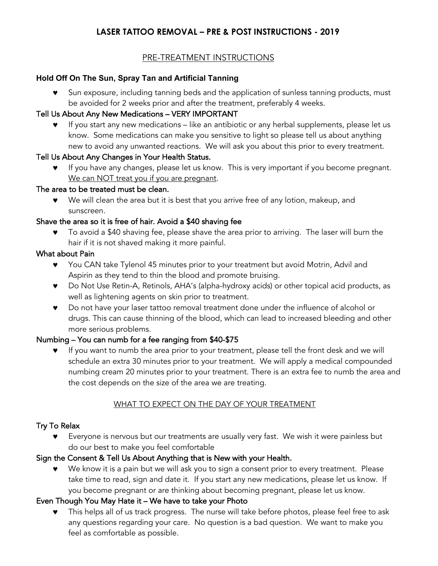# **LASER TATTOO REMOVAL – PRE & POST INSTRUCTIONS - 2019**

### PRE-TREATMENT INSTRUCTIONS

#### **Hold Off On The Sun, Spray Tan and Artificial Tanning**

Sun exposure, including tanning beds and the application of sunless tanning products, must be avoided for 2 weeks prior and after the treatment, preferably 4 weeks.

#### Tell Us About Any New Medications – VERY IMPORTANT

© If you start any new medications – like an antibiotic or any herbal supplements, please let us know. Some medications can make you sensitive to light so please tell us about anything new to avoid any unwanted reactions. We will ask you about this prior to every treatment.

### Tell Us About Any Changes in Your Health Status.

If you have any changes, please let us know. This is very important if you become pregnant. We can NOT treat you if you are pregnant.

#### The area to be treated must be clean.

© We will clean the area but it is best that you arrive free of any lotion, makeup, and sunscreen.

### Shave the area so it is free of hair. Avoid a \$40 shaving fee

To avoid a \$40 shaving fee, please shave the area prior to arriving. The laser will burn the hair if it is not shaved making it more painful.

### What about Pain

- © You CAN take Tylenol 45 minutes prior to your treatment but avoid Motrin, Advil and Aspirin as they tend to thin the blood and promote bruising.
- © Do Not Use Retin-A, Retinols, AHA's (alpha-hydroxy acids) or other topical acid products, as well as lightening agents on skin prior to treatment.
- © Do not have your laser tattoo removal treatment done under the influence of alcohol or drugs. This can cause thinning of the blood, which can lead to increased bleeding and other more serious problems.

#### Numbing – You can numb for a fee ranging from \$40-\$75

If you want to numb the area prior to your treatment, please tell the front desk and we will schedule an extra 30 minutes prior to your treatment. We will apply a medical compounded numbing cream 20 minutes prior to your treatment. There is an extra fee to numb the area and the cost depends on the size of the area we are treating.

# WHAT TO EXPECT ON THE DAY OF YOUR TREATMENT

#### Try To Relax

© Everyone is nervous but our treatments are usually very fast. We wish it were painless but do our best to make you feel comfortable

#### Sign the Consent & Tell Us About Anything that is New with your Health.

© We know it is a pain but we will ask you to sign a consent prior to every treatment. Please take time to read, sign and date it. If you start any new medications, please let us know. If you become pregnant or are thinking about becoming pregnant, please let us know.

# Even Though You May Hate it – We have to take your Photo

This helps all of us track progress. The nurse will take before photos, please feel free to ask any questions regarding your care. No question is a bad question. We want to make you feel as comfortable as possible.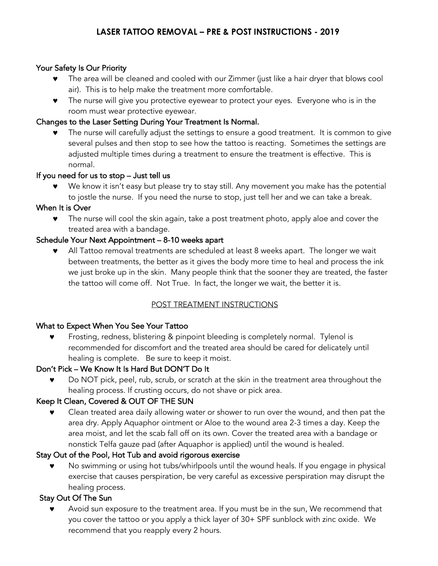### Your Safety Is Our Priority

- The area will be cleaned and cooled with our Zimmer (just like a hair dryer that blows cool air). This is to help make the treatment more comfortable.
- © The nurse will give you protective eyewear to protect your eyes. Everyone who is in the room must wear protective eyewear.

### Changes to the Laser Setting During Your Treatment Is Normal.

The nurse will carefully adjust the settings to ensure a good treatment. It is common to give several pulses and then stop to see how the tattoo is reacting. Sometimes the settings are adjusted multiple times during a treatment to ensure the treatment is effective. This is normal.

### If you need for us to stop – Just tell us

We know it isn't easy but please try to stay still. Any movement you make has the potential to jostle the nurse. If you need the nurse to stop, just tell her and we can take a break.

### When It is Over

© The nurse will cool the skin again, take a post treatment photo, apply aloe and cover the treated area with a bandage.

### Schedule Your Next Appointment – 8-10 weeks apart

All Tattoo removal treatments are scheduled at least 8 weeks apart. The longer we wait between treatments, the better as it gives the body more time to heal and process the ink we just broke up in the skin. Many people think that the sooner they are treated, the faster the tattoo will come off. Not True. In fact, the longer we wait, the better it is.

# POST TREATMENT INSTRUCTIONS

#### What to Expect When You See Your Tattoo

Frosting, redness, blistering & pinpoint bleeding is completely normal. Tylenol is recommended for discomfort and the treated area should be cared for delicately until healing is complete. Be sure to keep it moist.

#### Don't Pick – We Know It Is Hard But DON'T Do It

© Do NOT pick, peel, rub, scrub, or scratch at the skin in the treatment area throughout the healing process. If crusting occurs, do not shave or pick area.

# Keep It Clean, Covered & OUT OF THE SUN

© Clean treated area daily allowing water or shower to run over the wound, and then pat the area dry. Apply Aquaphor ointment or Aloe to the wound area 2-3 times a day. Keep the area moist, and let the scab fall off on its own. Cover the treated area with a bandage or nonstick Telfa gauze pad (after Aquaphor is applied) until the wound is healed.

# Stay Out of the Pool, Hot Tub and avoid rigorous exercise

© No swimming or using hot tubs/whirlpools until the wound heals. If you engage in physical exercise that causes perspiration, be very careful as excessive perspiration may disrupt the healing process.

# Stay Out Of The Sun

Avoid sun exposure to the treatment area. If you must be in the sun, We recommend that you cover the tattoo or you apply a thick layer of 30+ SPF sunblock with zinc oxide. We recommend that you reapply every 2 hours.